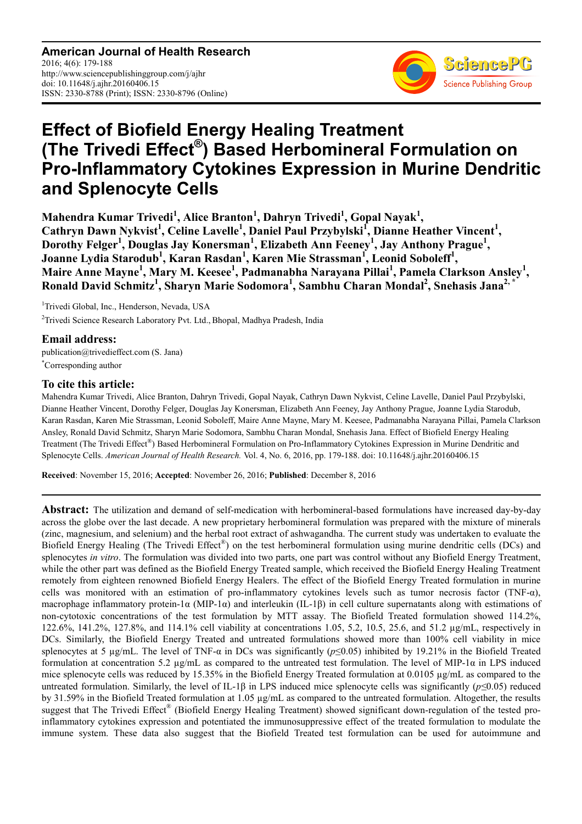**American Journal of Health Research** 2016; 4(6): 179-188 http://www.sciencepublishinggroup.com/j/ajhr doi: 10.11648/j.ajhr.20160406.15 ISSN: 2330-8788 (Print); ISSN: 2330-8796 (Online)



# **Effect of Biofield Energy Healing Treatment (The Trivedi Effect® ) Based Herbomineral Formulation on Pro-Inflammatory Cytokines Expression in Murine Dendritic and Splenocyte Cells**

**Mahendra Kumar Trivedi<sup>1</sup> , Alice Branton<sup>1</sup> , Dahryn Trivedi<sup>1</sup> , Gopal Nayak<sup>1</sup> ,**  Cathryn Dawn Nykvist<sup>1</sup>, Celine Lavelle<sup>1</sup>, Daniel Paul Przybylski<sup>I</sup>, Dianne Heather Vincent<sup>1</sup>, **Dorothy Felger<sup>1</sup> , Douglas Jay Konersman<sup>1</sup> , Elizabeth Ann Feeney<sup>1</sup> , Jay Anthony Prague<sup>1</sup> , Joanne Lydia Starodub<sup>1</sup> , Karan Rasdan<sup>1</sup> , Karen Mie Strassman<sup>1</sup> , Leonid Soboleff<sup>1</sup> , Maire Anne Mayne<sup>1</sup> , Mary M. Keesee<sup>1</sup> , Padmanabha Narayana Pillai<sup>1</sup> , Pamela Clarkson Ansley<sup>1</sup> , Ronald David Schmitz<sup>1</sup> , Sharyn Marie Sodomora<sup>1</sup> , Sambhu Charan Mondal<sup>2</sup> , Snehasis Jana2, \***

<sup>1</sup>Trivedi Global, Inc., Henderson, Nevada, USA <sup>2</sup>Trivedi Science Research Laboratory Pvt. Ltd., Bhopal, Madhya Pradesh, India

**Email address:** publication@trivedieffect.com (S. Jana) \*Corresponding author

# **To cite this article:**

Mahendra Kumar Trivedi, Alice Branton, Dahryn Trivedi, Gopal Nayak, Cathryn Dawn Nykvist, Celine Lavelle, Daniel Paul Przybylski, Dianne Heather Vincent, Dorothy Felger, Douglas Jay Konersman, Elizabeth Ann Feeney, Jay Anthony Prague, Joanne Lydia Starodub, Karan Rasdan, Karen Mie Strassman, Leonid Soboleff, Maire Anne Mayne, Mary M. Keesee, Padmanabha Narayana Pillai, Pamela Clarkson Ansley, Ronald David Schmitz, Sharyn Marie Sodomora, Sambhu Charan Mondal, Snehasis Jana. Effect of Biofield Energy Healing Treatment (The Trivedi Effect®) Based Herbomineral Formulation on Pro-Inflammatory Cytokines Expression in Murine Dendritic and Splenocyte Cells. *American Journal of Health Research.* Vol. 4, No. 6, 2016, pp. 179-188. doi: 10.11648/j.ajhr.20160406.15

**Received**: November 15, 2016; **Accepted**: November 26, 2016; **Published**: December 8, 2016

**Abstract:** The utilization and demand of self-medication with herbomineral-based formulations have increased day-by-day across the globe over the last decade. A new proprietary herbomineral formulation was prepared with the mixture of minerals (zinc, magnesium, and selenium) and the herbal root extract of ashwagandha. The current study was undertaken to evaluate the Biofield Energy Healing (The Trivedi Effect®) on the test herbomineral formulation using murine dendritic cells (DCs) and splenocytes *in vitro*. The formulation was divided into two parts, one part was control without any Biofield Energy Treatment, while the other part was defined as the Biofield Energy Treated sample, which received the Biofield Energy Healing Treatment remotely from eighteen renowned Biofield Energy Healers. The effect of the Biofield Energy Treated formulation in murine cells was monitored with an estimation of pro-inflammatory cytokines levels such as tumor necrosis factor (TNF-α), macrophage inflammatory protein-1α (MIP-1α) and interleukin (IL-1β) in cell culture supernatants along with estimations of non-cytotoxic concentrations of the test formulation by MTT assay. The Biofield Treated formulation showed 114.2%, 122.6%, 141.2%, 127.8%, and 114.1% cell viability at concentrations 1.05, 5.2, 10.5, 25.6, and 51.2 µg/mL, respectively in DCs. Similarly, the Biofield Energy Treated and untreated formulations showed more than 100% cell viability in mice splenocytes at 5 µg/mL. The level of TNF-α in DCs was significantly (*p*≤0.05) inhibited by 19.21% in the Biofield Treated formulation at concentration 5.2  $\mu$ g/mL as compared to the untreated test formulation. The level of MIP-1 $\alpha$  in LPS induced mice splenocyte cells was reduced by 15.35% in the Biofield Energy Treated formulation at 0.0105 µg/mL as compared to the untreated formulation. Similarly, the level of IL-1β in LPS induced mice splenocyte cells was significantly (*p≤*0.05) reduced by 31.59% in the Biofield Treated formulation at 1.05 µg/mL as compared to the untreated formulation. Altogether, the results suggest that The Trivedi Effect® (Biofield Energy Healing Treatment) showed significant down-regulation of the tested proinflammatory cytokines expression and potentiated the immunosuppressive effect of the treated formulation to modulate the immune system. These data also suggest that the Biofield Treated test formulation can be used for autoimmune and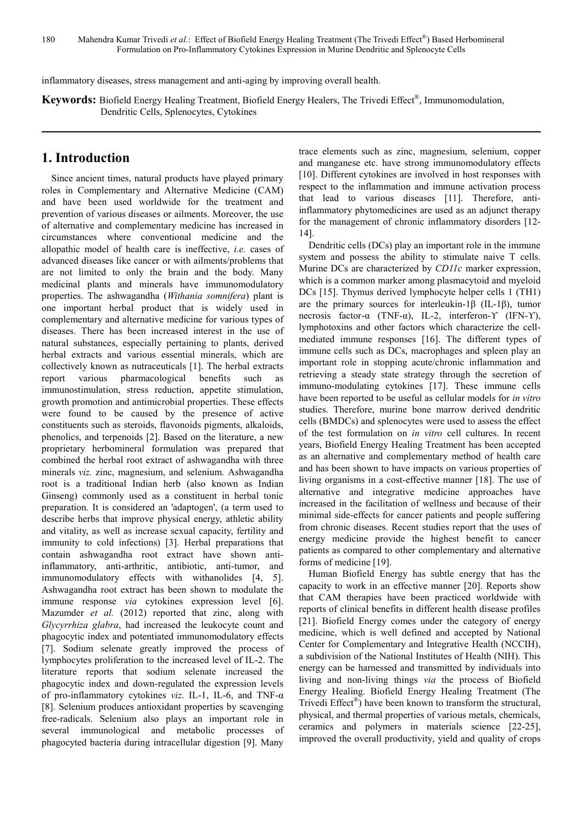inflammatory diseases, stress management and anti-aging by improving overall health.

**Keywords:** Biofield Energy Healing Treatment, Biofield Energy Healers, The Trivedi Effect® , Immunomodulation, Dendritic Cells, Splenocytes, Cytokines

# **1. Introduction**

Since ancient times, natural products have played primary roles in Complementary and Alternative Medicine (CAM) and have been used worldwide for the treatment and prevention of various diseases or ailments. Moreover, the use of alternative and complementary medicine has increased in circumstances where conventional medicine and the allopathic model of health care is ineffective, *i.e.* cases of advanced diseases like cancer or with ailments/problems that are not limited to only the brain and the body. Many medicinal plants and minerals have immunomodulatory properties. The ashwagandha (*Withania somnifera*) plant is one important herbal product that is widely used in complementary and alternative medicine for various types of diseases. There has been increased interest in the use of natural substances, especially pertaining to plants, derived herbal extracts and various essential minerals, which are collectively known as nutraceuticals [1]. The herbal extracts report various pharmacological benefits such as immunostimulation, stress reduction, appetite stimulation, growth promotion and antimicrobial properties. These effects were found to be caused by the presence of active constituents such as steroids, flavonoids pigments, alkaloids, phenolics, and terpenoids [2]. Based on the literature, a new proprietary herbomineral formulation was prepared that combined the herbal root extract of ashwagandha with three minerals *viz.* zinc, magnesium, and selenium. Ashwagandha root is a traditional Indian herb (also known as Indian Ginseng) commonly used as a constituent in herbal tonic preparation. It is considered an 'adaptogen', (a term used to describe herbs that improve physical energy, athletic ability and vitality, as well as increase sexual capacity, fertility and immunity to cold infections) [3]. Herbal preparations that contain ashwagandha root extract have shown antiinflammatory, anti-arthritic, antibiotic, anti-tumor, and immunomodulatory effects with withanolides [4, 5]. Ashwagandha root extract has been shown to modulate the immune response *via* cytokines expression level [6]. Mazumder *et al.* (2012) reported that zinc, along with *Glycyrrhiza glabra*, had increased the leukocyte count and phagocytic index and potentiated immunomodulatory effects [7]. Sodium selenate greatly improved the process of lymphocytes proliferation to the increased level of IL-2. The literature reports that sodium selenate increased the phagocytic index and down-regulated the expression levels of pro-inflammatory cytokines *viz*. IL-1, IL-6, and TNF-α [8]. Selenium produces antioxidant properties by scavenging free-radicals. Selenium also plays an important role in several immunological and metabolic processes of phagocyted bacteria during intracellular digestion [9]. Many trace elements such as zinc, magnesium, selenium, copper and manganese etc. have strong immunomodulatory effects [10]. Different cytokines are involved in host responses with respect to the inflammation and immune activation process that lead to various diseases [11]. Therefore, antiinflammatory phytomedicines are used as an adjunct therapy for the management of chronic inflammatory disorders [12- 14].

Dendritic cells (DCs) play an important role in the immune system and possess the ability to stimulate naive T cells. Murine DCs are characterized by *CD11c* marker expression, which is a common marker among plasmacytoid and myeloid DCs [15]. Thymus derived lymphocyte helper cells 1 (TH1) are the primary sources for interleukin-1 $\beta$  (IL-1 $\beta$ ), tumor necrosis factor-α (TNF-α), IL-2, interferon-ϒ (IFN-ϒ), lymphotoxins and other factors which characterize the cellmediated immune responses [16]. The different types of immune cells such as DCs, macrophages and spleen play an important role in stopping acute/chronic inflammation and retrieving a steady state strategy through the secretion of immuno-modulating cytokines [17]. These immune cells have been reported to be useful as cellular models for *in vitro* studies. Therefore, murine bone marrow derived dendritic cells (BMDCs) and splenocytes were used to assess the effect of the test formulation on *in vitro* cell cultures. In recent years, Biofield Energy Healing Treatment has been accepted as an alternative and complementary method of health care and has been shown to have impacts on various properties of living organisms in a cost-effective manner [18]. The use of alternative and integrative medicine approaches have increased in the facilitation of wellness and because of their minimal side-effects for cancer patients and people suffering from chronic diseases. Recent studies report that the uses of energy medicine provide the highest benefit to cancer patients as compared to other complementary and alternative forms of medicine [19].

Human Biofield Energy has subtle energy that has the capacity to work in an effective manner [20]. Reports show that CAM therapies have been practiced worldwide with reports of clinical benefits in different health disease profiles [21]. Biofield Energy comes under the category of energy medicine, which is well defined and accepted by National Center for Complementary and Integrative Health (NCCIH), a subdivision of the National Institutes of Health (NIH). This energy can be harnessed and transmitted by individuals into living and non-living things *via* the process of Biofield Energy Healing. Biofield Energy Healing Treatment (The Trivedi Effect® ) have been known to transform the structural, physical, and thermal properties of various metals, chemicals, ceramics and polymers in materials science [22-25], improved the overall productivity, yield and quality of crops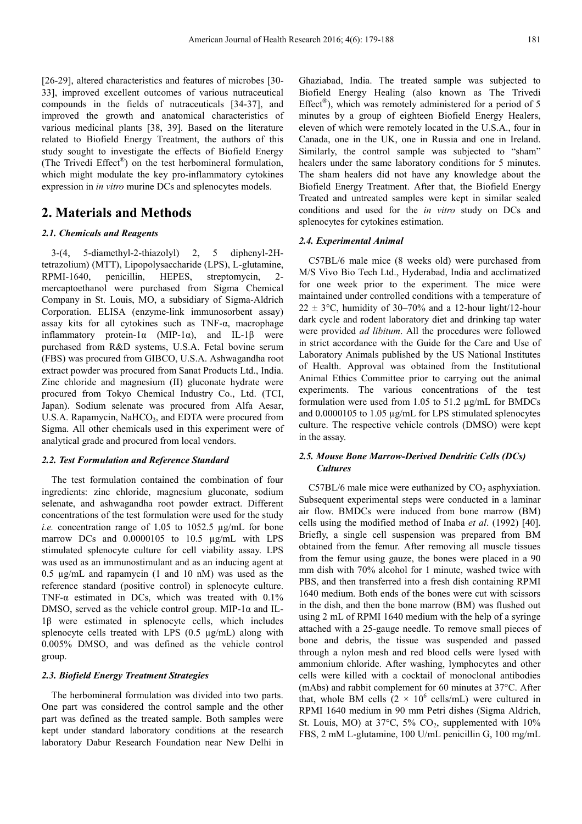[26-29], altered characteristics and features of microbes [30-33], improved excellent outcomes of various nutraceutical compounds in the fields of nutraceuticals [34-37], and improved the growth and anatomical characteristics of various medicinal plants [38, 39]. Based on the literature related to Biofield Energy Treatment, the authors of this study sought to investigate the effects of Biofield Energy (The Trivedi Effect® ) on the test herbomineral formulation, which might modulate the key pro-inflammatory cytokines expression in *in vitro* murine DCs and splenocytes models.

# **2. Materials and Methods**

#### *2.1. Chemicals and Reagents*

3-(4, 5-diamethyl-2-thiazolyl) 2, 5 diphenyl-2Htetrazolium) (MTT), Lipopolysaccharide (LPS), L-glutamine, RPMI-1640, penicillin, HEPES, streptomycin, 2 mercaptoethanol were purchased from Sigma Chemical Company in St. Louis, MO, a subsidiary of Sigma-Aldrich Corporation. ELISA (enzyme-link immunosorbent assay) assay kits for all cytokines such as TNF-α, macrophage inflammatory protein-1α (MIP-1α), and IL-1β were purchased from R&D systems, U.S.A. Fetal bovine serum (FBS) was procured from GIBCO, U.S.A. Ashwagandha root extract powder was procured from Sanat Products Ltd., India. Zinc chloride and magnesium (II) gluconate hydrate were procured from Tokyo Chemical Industry Co., Ltd. (TCI, Japan). Sodium selenate was procured from Alfa Aesar, U.S.A. Rapamycin,  $NaHCO<sub>3</sub>$ , and EDTA were procured from Sigma. All other chemicals used in this experiment were of analytical grade and procured from local vendors.

#### *2.2. Test Formulation and Reference Standard*

The test formulation contained the combination of four ingredients: zinc chloride, magnesium gluconate, sodium selenate, and ashwagandha root powder extract. Different concentrations of the test formulation were used for the study *i.e.* concentration range of 1.05 to 1052.5 µg/mL for bone marrow DCs and 0.0000105 to 10.5 µg/mL with LPS stimulated splenocyte culture for cell viability assay. LPS was used as an immunostimulant and as an inducing agent at 0.5 µg/mL and rapamycin (1 and 10 nM) was used as the reference standard (positive control) in splenocyte culture. TNF- $\alpha$  estimated in DCs, which was treated with 0.1% DMSO, served as the vehicle control group. MIP-1 $\alpha$  and IL-1β were estimated in splenocyte cells, which includes splenocyte cells treated with LPS  $(0.5 \text{ µg/mL})$  along with 0.005% DMSO, and was defined as the vehicle control group.

#### *2.3. Biofield Energy Treatment Strategies*

The herbomineral formulation was divided into two parts. One part was considered the control sample and the other part was defined as the treated sample. Both samples were kept under standard laboratory conditions at the research laboratory Dabur Research Foundation near New Delhi in Ghaziabad, India. The treated sample was subjected to Biofield Energy Healing (also known as The Trivedi Effect®), which was remotely administered for a period of 5 minutes by a group of eighteen Biofield Energy Healers, eleven of which were remotely located in the U.S.A., four in Canada, one in the UK, one in Russia and one in Ireland. Similarly, the control sample was subjected to "sham" healers under the same laboratory conditions for 5 minutes. The sham healers did not have any knowledge about the Biofield Energy Treatment. After that, the Biofield Energy Treated and untreated samples were kept in similar sealed conditions and used for the *in vitro* study on DCs and splenocytes for cytokines estimation.

#### *2.4. Experimental Animal*

C57BL/6 male mice (8 weeks old) were purchased from M/S Vivo Bio Tech Ltd., Hyderabad, India and acclimatized for one week prior to the experiment. The mice were maintained under controlled conditions with a temperature of  $22 \pm 3$ °C, humidity of 30–70% and a 12-hour light/12-hour dark cycle and rodent laboratory diet and drinking tap water were provided *ad libitum*. All the procedures were followed in strict accordance with the Guide for the Care and Use of Laboratory Animals published by the US National Institutes of Health. Approval was obtained from the Institutional Animal Ethics Committee prior to carrying out the animal experiments. The various concentrations of the test formulation were used from 1.05 to 51.2 µg/mL for BMDCs and 0.0000105 to 1.05 µg/mL for LPS stimulated splenocytes culture. The respective vehicle controls (DMSO) were kept in the assay.

### *2.5. Mouse Bone Marrow-Derived Dendritic Cells (DCs) Cultures*

C57BL/6 male mice were euthanized by  $CO<sub>2</sub>$  asphyxiation. Subsequent experimental steps were conducted in a laminar air flow. BMDCs were induced from bone marrow (BM) cells using the modified method of Inaba *et al*. (1992) [40]. Briefly, a single cell suspension was prepared from BM obtained from the femur. After removing all muscle tissues from the femur using gauze, the bones were placed in a 90 mm dish with 70% alcohol for 1 minute, washed twice with PBS, and then transferred into a fresh dish containing RPMI 1640 medium. Both ends of the bones were cut with scissors in the dish, and then the bone marrow (BM) was flushed out using 2 mL of RPMI 1640 medium with the help of a syringe attached with a 25-gauge needle. To remove small pieces of bone and debris, the tissue was suspended and passed through a nylon mesh and red blood cells were lysed with ammonium chloride. After washing, lymphocytes and other cells were killed with a cocktail of monoclonal antibodies (mAbs) and rabbit complement for 60 minutes at 37°C. After that, whole BM cells  $(2 \times 10^6 \text{ cells/mL})$  were cultured in RPMI 1640 medium in 90 mm Petri dishes (Sigma Aldrich, St. Louis, MO) at  $37^{\circ}$ C,  $5\%$  CO<sub>2</sub>, supplemented with  $10\%$ FBS, 2 mM L-glutamine, 100 U/mL penicillin G, 100 mg/mL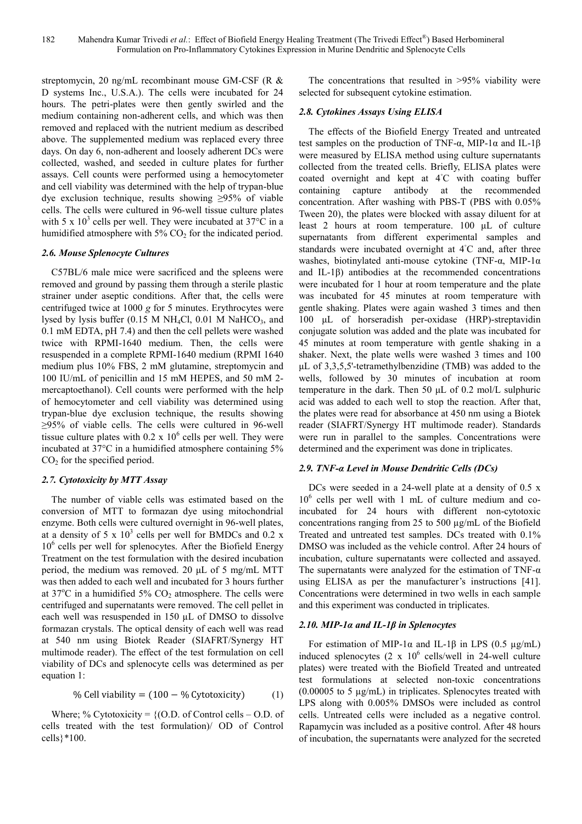streptomycin, 20 ng/mL recombinant mouse GM-CSF (R & D systems Inc., U.S.A.). The cells were incubated for 24 hours. The petri-plates were then gently swirled and the medium containing non-adherent cells, and which was then removed and replaced with the nutrient medium as described above. The supplemented medium was replaced every three days. On day 6, non-adherent and loosely adherent DCs were collected, washed, and seeded in culture plates for further assays. Cell counts were performed using a hemocytometer and cell viability was determined with the help of trypan-blue dye exclusion technique, results showing ≥95% of viable cells. The cells were cultured in 96-well tissue culture plates with 5 x  $10^3$  cells per well. They were incubated at 37 $\degree$ C in a humidified atmosphere with  $5\%$  CO<sub>2</sub> for the indicated period.

#### *2.6. Mouse Splenocyte Cultures*

C57BL/6 male mice were sacrificed and the spleens were removed and ground by passing them through a sterile plastic strainer under aseptic conditions. After that, the cells were centrifuged twice at 1000 *g* for 5 minutes. Erythrocytes were lysed by lysis buffer (0.15 M NH<sub>4</sub>Cl, 0.01 M NaHCO<sub>3</sub>, and 0.1 mM EDTA, pH 7.4) and then the cell pellets were washed twice with RPMI-1640 medium. Then, the cells were resuspended in a complete RPMI-1640 medium (RPMI 1640 medium plus 10% FBS, 2 mM glutamine, streptomycin and 100 IU/mL of penicillin and 15 mM HEPES, and 50 mM 2 mercaptoethanol). Cell counts were performed with the help of hemocytometer and cell viability was determined using trypan-blue dye exclusion technique, the results showing ≥95% of viable cells. The cells were cultured in 96-well tissue culture plates with  $0.2 \times 10^6$  cells per well. They were incubated at 37°C in a humidified atmosphere containing 5%  $CO<sub>2</sub>$  for the specified period.

### *2.7. Cytotoxicity by MTT Assay*

The number of viable cells was estimated based on the conversion of MTT to formazan dye using mitochondrial enzyme. Both cells were cultured overnight in 96-well plates, at a density of 5 x  $10^3$  cells per well for BMDCs and 0.2 x 10<sup>6</sup> cells per well for splenocytes. After the Biofield Energy Treatment on the test formulation with the desired incubation period, the medium was removed. 20 µL of 5 mg/mL MTT was then added to each well and incubated for 3 hours further at  $37^{\circ}$ C in a humidified  $5\%$  CO<sub>2</sub> atmosphere. The cells were centrifuged and supernatants were removed. The cell pellet in each well was resuspended in 150 µL of DMSO to dissolve formazan crystals. The optical density of each well was read at 540 nm using Biotek Reader (SIAFRT/Synergy HT multimode reader). The effect of the test formulation on cell viability of DCs and splenocyte cells was determined as per equation 1:

% Cell viability = 
$$
(100 - % Cytotoxicity)
$$
 (1)

Where; % Cytotoxicity =  $\{(O.D. of Control cells – O.D. of$ cells treated with the test formulation)/ OD of Control cells}\*100.

The concentrations that resulted in >95% viability were selected for subsequent cytokine estimation.

### *2.8. Cytokines Assays Using ELISA*

The effects of the Biofield Energy Treated and untreated test samples on the production of TNF-α, MIP-1α and IL-1β were measured by ELISA method using culture supernatants collected from the treated cells. Briefly, ELISA plates were coated overnight and kept at 4◦C with coating buffer containing capture antibody at the recommended concentration. After washing with PBS-T (PBS with 0.05% Tween 20), the plates were blocked with assay diluent for at least 2 hours at room temperature. 100 µL of culture supernatants from different experimental samples and standards were incubated overnight at 4<sup>°</sup>C and, after three washes, biotinylated anti-mouse cytokine (TNF-α, MIP-1α and IL-1 $\beta$ ) antibodies at the recommended concentrations were incubated for 1 hour at room temperature and the plate was incubated for 45 minutes at room temperature with gentle shaking. Plates were again washed 3 times and then 100 µL of horseradish per-oxidase (HRP)-streptavidin conjugate solution was added and the plate was incubated for 45 minutes at room temperature with gentle shaking in a shaker. Next, the plate wells were washed 3 times and 100 µL of 3,3,5,5'-tetramethylbenzidine (TMB) was added to the wells, followed by 30 minutes of incubation at room temperature in the dark. Then 50 µL of 0.2 mol/L sulphuric acid was added to each well to stop the reaction. After that, the plates were read for absorbance at 450 nm using a Biotek reader (SIAFRT/Synergy HT multimode reader). Standards were run in parallel to the samples. Concentrations were determined and the experiment was done in triplicates.

#### *2.9. TNF-α Level in Mouse Dendritic Cells (DCs)*

DCs were seeded in a 24-well plate at a density of 0.5 x 10<sup>6</sup> cells per well with 1 mL of culture medium and coincubated for 24 hours with different non-cytotoxic concentrations ranging from 25 to 500 µg/mL of the Biofield Treated and untreated test samples. DCs treated with 0.1% DMSO was included as the vehicle control. After 24 hours of incubation, culture supernatants were collected and assayed. The supernatants were analyzed for the estimation of TNF- $\alpha$ using ELISA as per the manufacturer's instructions [41]. Concentrations were determined in two wells in each sample and this experiment was conducted in triplicates.

#### *2.10. MIP-1α and IL-1β in Splenocytes*

For estimation of MIP-1α and IL-1β in LPS (0.5  $\mu$ g/mL) induced splenocytes  $(2 \times 10^6 \text{ cells/well in } 24$ -well culture plates) were treated with the Biofield Treated and untreated test formulations at selected non-toxic concentrations (0.00005 to 5 µg/mL) in triplicates. Splenocytes treated with LPS along with 0.005% DMSOs were included as control cells. Untreated cells were included as a negative control. Rapamycin was included as a positive control. After 48 hours of incubation, the supernatants were analyzed for the secreted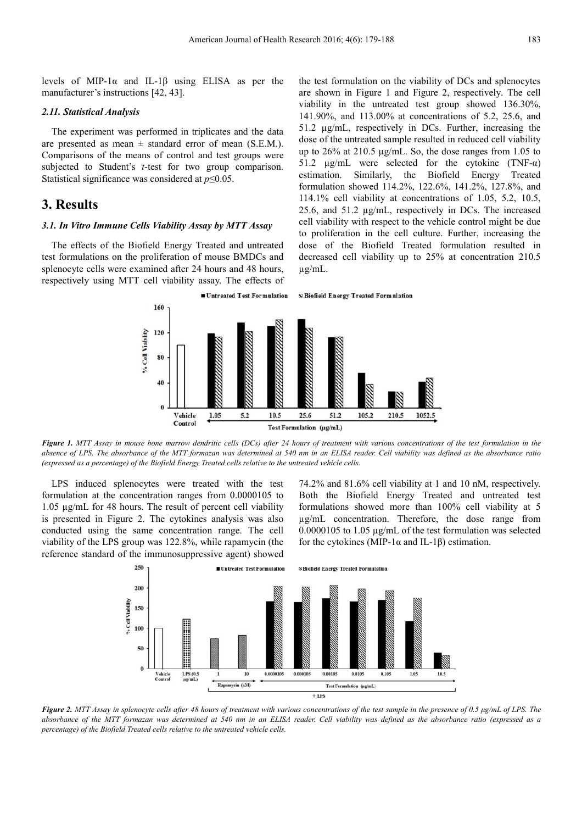levels of MIP-1α and IL-1β using ELISA as per the manufacturer's instructions [42, 43].

#### *2.11. Statistical Analysis*

The experiment was performed in triplicates and the data are presented as mean  $\pm$  standard error of mean (S.E.M.). Comparisons of the means of control and test groups were subjected to Student's *t*-test for two group comparison. Statistical significance was considered at *p*≤0.05.

# **3. Results**

#### *3.1. In Vitro Immune Cells Viability Assay by MTT Assay*

The effects of the Biofield Energy Treated and untreated test formulations on the proliferation of mouse BMDCs and splenocyte cells were examined after 24 hours and 48 hours, respectively using MTT cell viability assay. The effects of the test formulation on the viability of DCs and splenocytes are shown in Figure 1 and Figure 2, respectively. The cell viability in the untreated test group showed 136.30%, 141.90%, and 113.00% at concentrations of 5.2, 25.6, and 51.2 µg/mL, respectively in DCs. Further, increasing the dose of the untreated sample resulted in reduced cell viability up to 26% at 210.5 µg/mL. So, the dose ranges from 1.05 to 51.2  $\mu$ g/mL were selected for the cytokine (TNF- $\alpha$ ) estimation. Similarly, the Biofield Energy Treated formulation showed 114.2%, 122.6%, 141.2%, 127.8%, and 114.1% cell viability at concentrations of 1.05, 5.2, 10.5, 25.6, and 51.2 µg/mL, respectively in DCs. The increased cell viability with respect to the vehicle control might be due to proliferation in the cell culture. Further, increasing the dose of the Biofield Treated formulation resulted in decreased cell viability up to 25% at concentration 210.5 µg/mL.

**S Biofield Energy Treated Formulation** 



*Figure 1. MTT Assay in mouse bone marrow dendritic cells (DCs) after 24 hours of treatment with various concentrations of the test formulation in the absence of LPS. The absorbance of the MTT formazan was determined at 540 nm in an ELISA reader. Cell viability was defined as the absorbance ratio (expressed as a percentage) of the Biofield Energy Treated cells relative to the untreated vehicle cells.* 

LPS induced splenocytes were treated with the test formulation at the concentration ranges from 0.0000105 to 1.05 µg/mL for 48 hours. The result of percent cell viability is presented in Figure 2. The cytokines analysis was also conducted using the same concentration range. The cell viability of the LPS group was 122.8%, while rapamycin (the reference standard of the immunosuppressive agent) showed 74.2% and 81.6% cell viability at 1 and 10 nM, respectively. Both the Biofield Energy Treated and untreated test formulations showed more than 100% cell viability at 5 µg/mL concentration. Therefore, the dose range from 0.0000105 to 1.05 µg/mL of the test formulation was selected for the cytokines (MIP-1 $\alpha$  and IL-1 $\beta$ ) estimation.



*Figure 2. MTT Assay in splenocyte cells after 48 hours of treatment with various concentrations of the test sample in the presence of 0.5 µg/mL of LPS. The absorbance of the MTT formazan was determined at 540 nm in an ELISA reader. Cell viability was defined as the absorbance ratio (expressed as a percentage) of the Biofield Treated cells relative to the untreated vehicle cells.*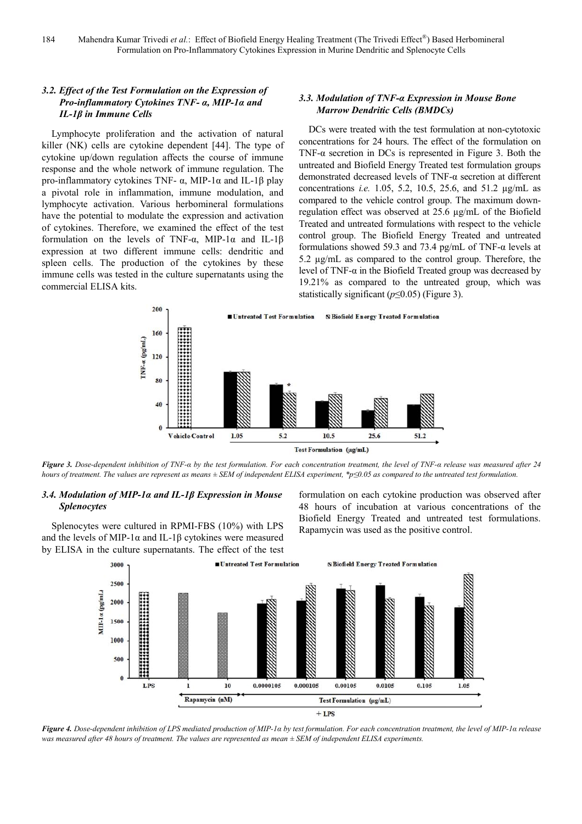### *3.2. Effect of the Test Formulation on the Expression of Pro-inflammatory Cytokines TNF- α, MIP-1α and IL-1β in Immune Cells*

Lymphocyte proliferation and the activation of natural killer (NK) cells are cytokine dependent [44]. The type of cytokine up/down regulation affects the course of immune response and the whole network of immune regulation. The pro-inflammatory cytokines TNF- α, MIP-1α and IL-1β play a pivotal role in inflammation, immune modulation, and lymphocyte activation. Various herbomineral formulations have the potential to modulate the expression and activation of cytokines. Therefore, we examined the effect of the test formulation on the levels of TNF-α, MIP-1α and IL-1β expression at two different immune cells: dendritic and spleen cells. The production of the cytokines by these immune cells was tested in the culture supernatants using the commercial ELISA kits.

### *3.3. Modulation of TNF-α Expression in Mouse Bone Marrow Dendritic Cells (BMDCs)*

DCs were treated with the test formulation at non-cytotoxic concentrations for 24 hours. The effect of the formulation on TNF- $\alpha$  secretion in DCs is represented in Figure 3. Both the untreated and Biofield Energy Treated test formulation groups demonstrated decreased levels of TNF-α secretion at different concentrations *i.e.* 1.05, 5.2, 10.5, 25.6, and 51.2 µg/mL as compared to the vehicle control group. The maximum downregulation effect was observed at 25.6 µg/mL of the Biofield Treated and untreated formulations with respect to the vehicle control group. The Biofield Energy Treated and untreated formulations showed 59.3 and 73.4 pg/mL of TNF- $\alpha$  levels at 5.2  $\mu$ g/mL as compared to the control group. Therefore, the level of TNF-α in the Biofield Treated group was decreased by 19.21% as compared to the untreated group, which was statistically significant (*p*≤0.05) (Figure 3).



*Figure 3. Dose-dependent inhibition of TNF-α by the test formulation. For each concentration treatment, the level of TNF-α release was measured after 24 hours of treatment. The values are represent as means* ± SEM of independent ELISA experiment, \*p≤0.05 as compared to the untreated test formulation.

### *3.4. Modulation of MIP-1α and IL-1β Expression in Mouse Splenocytes*

Splenocytes were cultured in RPMI-FBS (10%) with LPS and the levels of MIP-1 $\alpha$  and IL-1 $\beta$  cytokines were measured by ELISA in the culture supernatants. The effect of the test formulation on each cytokine production was observed after 48 hours of incubation at various concentrations of the Biofield Energy Treated and untreated test formulations. Rapamycin was used as the positive control.



*Figure 4. Dose-dependent inhibition of LPS mediated production of MIP-1α by test formulation. For each concentration treatment, the level of MIP-1α release was measured after 48 hours of treatment. The values are represented as mean ± SEM of independent ELISA experiments.*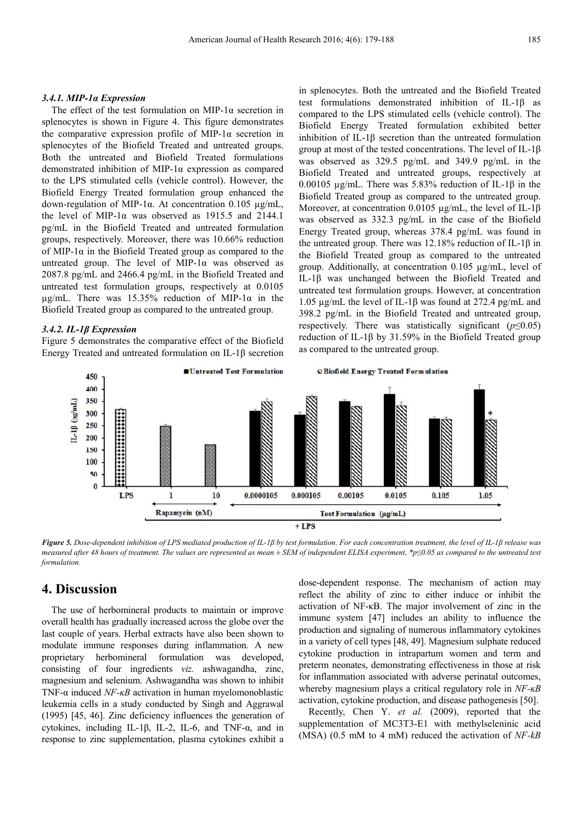#### *3.4.1. MIP-1α Expression*

The effect of the test formulation on MIP-1 $\alpha$  secretion in splenocytes is shown in Figure 4. This figure demonstrates the comparative expression profile of MIP-1α secretion in splenocytes of the Biofield Treated and untreated groups. Both the untreated and Biofield Treated formulations demonstrated inhibition of MIP-1α expression as compared to the LPS stimulated cells (vehicle control). However, the Biofield Energy Treated formulation group enhanced the down-regulation of MIP-1α. At concentration 0.105 µg/mL, the level of MIP-1 $\alpha$  was observed as 1915.5 and 2144.1 pg/mL in the Biofield Treated and untreated formulation groups, respectively. Moreover, there was 10.66% reduction of MIP-1 $\alpha$  in the Biofield Treated group as compared to the untreated group. The level of MIP-1 $\alpha$  was observed as 2087.8 pg/mL and 2466.4 pg/mL in the Biofield Treated and untreated test formulation groups, respectively at 0.0105  $\mu$ g/mL. There was 15.35% reduction of MIP-1 $\alpha$  in the Biofield Treated group as compared to the untreated group.

### *3.4.2. IL-1β Expression*

Figure 5 demonstrates the comparative effect of the Biofield Energy Treated and untreated formulation on IL-1β secretion in splenocytes. Both the untreated and the Biofield Treated test formulations demonstrated inhibition of IL-1β as compared to the LPS stimulated cells (vehicle control). The Biofield Energy Treated formulation exhibited better inhibition of IL-1β secretion than the untreated formulation group at most of the tested concentrations. The level of IL-1β was observed as 329.5 pg/mL and 349.9 pg/mL in the Biofield Treated and untreated groups, respectively at 0.00105 µg/mL. There was 5.83% reduction of IL-1β in the Biofield Treated group as compared to the untreated group. Moreover, at concentration 0.0105 µg/mL, the level of IL-1β was observed as 332.3 pg/mL in the case of the Biofield Energy Treated group, whereas 378.4 pg/mL was found in the untreated group. There was 12.18% reduction of IL-1β in the Biofield Treated group as compared to the untreated group. Additionally, at concentration 0.105 µg/mL, level of IL-1β was unchanged between the Biofield Treated and untreated test formulation groups. However, at concentration 1.05 µg/mL the level of IL-1β was found at 272.4 pg/mL and 398.2 pg/mL in the Biofield Treated and untreated group, respectively. There was statistically significant  $(p \le 0.05)$ reduction of IL-1β by 31.59% in the Biofield Treated group as compared to the untreated group.



*Figure 5. Dose-dependent inhibition of LPS mediated production of IL-1β by test formulation. For each concentration treatment, the level of IL-1β release was measured after 48 hours of treatment. The values are represented as mean ± SEM of independent ELISA experiment, \*p≤0.05 as compared to the untreated test formulation.* 

# **4. Discussion**

The use of herbomineral products to maintain or improve overall health has gradually increased across the globe over the last couple of years. Herbal extracts have also been shown to modulate immune responses during inflammation. A new proprietary herbomineral formulation was developed, consisting of four ingredients *viz.* ashwagandha, zinc, magnesium and selenium. Ashwagandha was shown to inhibit TNF-α induced *NF-κB* activation in human myelomonoblastic leukemia cells in a study conducted by Singh and Aggrawal (1995) [45, 46]. Zinc deficiency influences the generation of cytokines, including IL-1β, IL-2, IL-6, and TNF-α, and in response to zinc supplementation, plasma cytokines exhibit a

dose-dependent response. The mechanism of action may reflect the ability of zinc to either induce or inhibit the activation of NF-κB. The major involvement of zinc in the immune system [47] includes an ability to influence the production and signaling of numerous inflammatory cytokines in a variety of cell types [48, 49]. Magnesium sulphate reduced cytokine production in intrapartum women and term and preterm neonates, demonstrating effectiveness in those at risk for inflammation associated with adverse perinatal outcomes, whereby magnesium plays a critical regulatory role in *NF-κB* activation, cytokine production, and disease pathogenesis [50].

Recently, Chen Y. *et al.* (2009), reported that the supplementation of MC3T3-E1 with methylseleninic acid (MSA) (0.5 mM to 4 mM) reduced the activation of *NF-kB*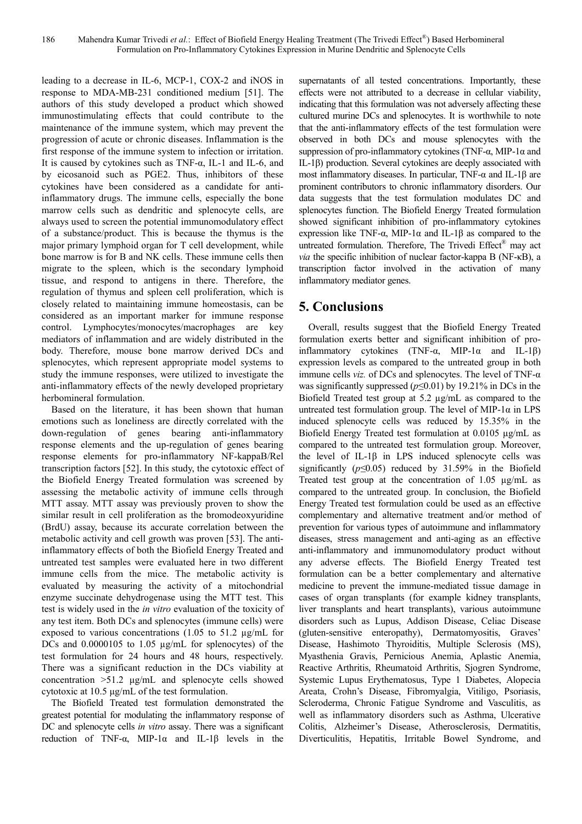leading to a decrease in IL-6, MCP-1, COX-2 and iNOS in response to MDA-MB-231 conditioned medium [51]. The authors of this study developed a product which showed immunostimulating effects that could contribute to the maintenance of the immune system, which may prevent the progression of acute or chronic diseases. Inflammation is the first response of the immune system to infection or irritation. It is caused by cytokines such as TNF-α, IL-1 and IL-6, and by eicosanoid such as PGE2. Thus, inhibitors of these cytokines have been considered as a candidate for antiinflammatory drugs. The immune cells, especially the bone marrow cells such as dendritic and splenocyte cells, are always used to screen the potential immunomodulatory effect of a substance/product. This is because the thymus is the major primary lymphoid organ for T cell development, while bone marrow is for B and NK cells. These immune cells then migrate to the spleen, which is the secondary lymphoid tissue, and respond to antigens in there. Therefore, the regulation of thymus and spleen cell proliferation, which is closely related to maintaining immune homeostasis, can be considered as an important marker for immune response control. Lymphocytes/monocytes/macrophages are key mediators of inflammation and are widely distributed in the body. Therefore, mouse bone marrow derived DCs and splenocytes, which represent appropriate model systems to study the immune responses, were utilized to investigate the anti-inflammatory effects of the newly developed proprietary herbomineral formulation.

Based on the literature, it has been shown that human emotions such as loneliness are directly correlated with the down-regulation of genes bearing anti-inflammatory response elements and the up-regulation of genes bearing response elements for pro-inflammatory NF-kappaB/Rel transcription factors [52]. In this study, the cytotoxic effect of the Biofield Energy Treated formulation was screened by assessing the metabolic activity of immune cells through MTT assay. MTT assay was previously proven to show the similar result in cell proliferation as the bromodeoxyuridine (BrdU) assay, because its accurate correlation between the metabolic activity and cell growth was proven [53]. The antiinflammatory effects of both the Biofield Energy Treated and untreated test samples were evaluated here in two different immune cells from the mice. The metabolic activity is evaluated by measuring the activity of a mitochondrial enzyme succinate dehydrogenase using the MTT test. This test is widely used in the *in vitro* evaluation of the toxicity of any test item. Both DCs and splenocytes (immune cells) were exposed to various concentrations (1.05 to 51.2 µg/mL for DCs and 0.0000105 to 1.05 µg/mL for splenocytes) of the test formulation for 24 hours and 48 hours, respectively. There was a significant reduction in the DCs viability at concentration  $>51.2$  µg/mL and splenocyte cells showed cytotoxic at 10.5 µg/mL of the test formulation.

The Biofield Treated test formulation demonstrated the greatest potential for modulating the inflammatory response of DC and splenocyte cells *in vitro* assay. There was a significant reduction of TNF- $\alpha$ , MIP-1 $\alpha$  and IL-1 $\beta$  levels in the

supernatants of all tested concentrations. Importantly, these effects were not attributed to a decrease in cellular viability, indicating that this formulation was not adversely affecting these cultured murine DCs and splenocytes. It is worthwhile to note that the anti-inflammatory effects of the test formulation were observed in both DCs and mouse splenocytes with the suppression of pro-inflammatory cytokines (TNF- $\alpha$ , MIP-1 $\alpha$  and IL-1β) production. Several cytokines are deeply associated with most inflammatory diseases. In particular, TNF- $α$  and IL-1β are prominent contributors to chronic inflammatory disorders. Our data suggests that the test formulation modulates DC and splenocytes function. The Biofield Energy Treated formulation showed significant inhibition of pro-inflammatory cytokines expression like TNF- $\alpha$ . MIP-1 $\alpha$  and IL-1 $\beta$  as compared to the untreated formulation. Therefore, The Trivedi Effect® may act *via* the specific inhibition of nuclear factor-kappa B (NF-κB), a transcription factor involved in the activation of many inflammatory mediator genes.

# **5. Conclusions**

Overall, results suggest that the Biofield Energy Treated formulation exerts better and significant inhibition of proinflammatory cytokines (TNF- $\alpha$ , MIP-1 $\alpha$  and IL-1 $\beta$ ) expression levels as compared to the untreated group in both immune cells *viz.* of DCs and splenocytes. The level of TNF-α was significantly suppressed (*p*≤0.01) by 19.21% in DCs in the Biofield Treated test group at 5.2 µg/mL as compared to the untreated test formulation group. The level of MIP-1 $\alpha$  in LPS induced splenocyte cells was reduced by 15.35% in the Biofield Energy Treated test formulation at 0.0105 µg/mL as compared to the untreated test formulation group. Moreover, the level of IL-1β in LPS induced splenocyte cells was significantly (*p≤*0.05) reduced by 31.59% in the Biofield Treated test group at the concentration of 1.05 µg/mL as compared to the untreated group. In conclusion, the Biofield Energy Treated test formulation could be used as an effective complementary and alternative treatment and/or method of prevention for various types of autoimmune and inflammatory diseases, stress management and anti-aging as an effective anti-inflammatory and immunomodulatory product without any adverse effects. The Biofield Energy Treated test formulation can be a better complementary and alternative medicine to prevent the immune-mediated tissue damage in cases of organ transplants (for example kidney transplants, liver transplants and heart transplants), various autoimmune disorders such as Lupus, Addison Disease, Celiac Disease (gluten-sensitive enteropathy), Dermatomyositis, Graves' Disease, Hashimoto Thyroiditis, Multiple Sclerosis (MS), Myasthenia Gravis, Pernicious Anemia, Aplastic Anemia, Reactive Arthritis, Rheumatoid Arthritis, Sjogren Syndrome, Systemic Lupus Erythematosus, Type 1 Diabetes, Alopecia Areata, Crohn's Disease, Fibromyalgia, Vitiligo, Psoriasis, Scleroderma, Chronic Fatigue Syndrome and Vasculitis, as well as inflammatory disorders such as Asthma, Ulcerative Colitis, Alzheimer's Disease, Atherosclerosis, Dermatitis, Diverticulitis, Hepatitis, Irritable Bowel Syndrome, and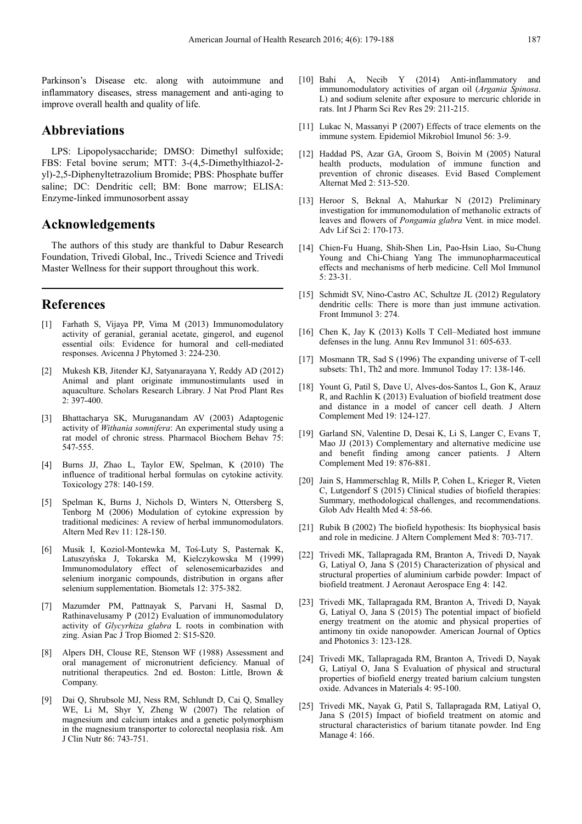Parkinson's Disease etc. along with autoimmune and inflammatory diseases, stress management and anti-aging to improve overall health and quality of life.

# **Abbreviations**

LPS: Lipopolysaccharide; DMSO: Dimethyl sulfoxide; FBS: Fetal bovine serum; MTT: 3-(4,5-Dimethylthiazol-2 yl)-2,5-Diphenyltetrazolium Bromide; PBS: Phosphate buffer saline; DC: Dendritic cell; BM: Bone marrow; ELISA: Enzyme-linked immunosorbent assay

### **Acknowledgements**

The authors of this study are thankful to Dabur Research Foundation, Trivedi Global, Inc., Trivedi Science and Trivedi Master Wellness for their support throughout this work.

# **References**

- [1] Farhath S, Vijaya PP, Vima M (2013) Immunomodulatory activity of geranial, geranial acetate, gingerol, and eugenol essential oils: Evidence for humoral and cell-mediated responses. Avicenna J Phytomed 3: 224-230.
- [2] Mukesh KB, Jitender KJ, Satyanarayana Y, Reddy AD (2012) Animal and plant originate immunostimulants used in aquaculture. Scholars Research Library. J Nat Prod Plant Res 2: 397-400.
- [3] Bhattacharya SK, Muruganandam AV (2003) Adaptogenic activity of *Withania somnifera*: An experimental study using a rat model of chronic stress. Pharmacol Biochem Behav 75: 547-555.
- [4] Burns JJ, Zhao L, Taylor EW, Spelman, K (2010) The influence of traditional herbal formulas on cytokine activity. Toxicology 278: 140-159.
- [5] Spelman K, Burns J, Nichols D, Winters N, Ottersberg S, Tenborg M (2006) Modulation of cytokine expression by traditional medicines: A review of herbal immunomodulators. Altern Med Rev 11: 128-150.
- [6] Musik I, Koziol-Montewka M, Toś-Luty S, Pasternak K, Latuszyńska J, Tokarska M, Kielczykowska M (1999) Immunomodulatory effect of selenosemicarbazides and selenium inorganic compounds, distribution in organs after selenium supplementation. Biometals 12: 375-382.
- Mazumder PM, Pattnayak S, Parvani H, Sasmal D, Rathinavelusamy P (2012) Evaluation of immunomodulatory activity of *Glycyrhiza glabra* L roots in combination with zing. Asian Pac J Trop Biomed 2: S15-S20.
- Alpers DH, Clouse RE, Stenson WF (1988) Assessment and oral management of micronutrient deficiency. Manual of nutritional therapeutics. 2nd ed. Boston: Little, Brown & Company.
- [9] Dai Q, Shrubsole MJ, Ness RM, Schlundt D, Cai Q, Smalley WE, Li M, Shyr Y, Zheng W (2007) The relation of magnesium and calcium intakes and a genetic polymorphism in the magnesium transporter to colorectal neoplasia risk. Am J Clin Nutr 86: 743-751.
- [10] Bahi A, Necib Y (2014) Anti-inflammatory and immunomodulatory activities of argan oil (*Argania Spinosa*. L) and sodium selenite after exposure to mercuric chloride in rats. Int J Pharm Sci Rev Res 29: 211-215.
- [11] Lukac N, Massanyi P (2007) Effects of trace elements on the immune system. Epidemiol Mikrobiol Imunol 56: 3-9.
- [12] Haddad PS, Azar GA, Groom S, Boivin M (2005) Natural health products, modulation of immune function and prevention of chronic diseases. Evid Based Complement Alternat Med 2: 513-520.
- [13] Heroor S, Beknal A, Mahurkar N (2012) Preliminary investigation for immunomodulation of methanolic extracts of leaves and flowers of *Pongamia glabra* Vent. in mice model. Adv Lif Sci 2: 170-173.
- [14] Chien-Fu Huang, Shih-Shen Lin, Pao-Hsin Liao, Su-Chung Young and Chi-Chiang Yang The immunopharmaceutical effects and mechanisms of herb medicine. Cell Mol Immunol 5: 23-31.
- [15] Schmidt SV, Nino-Castro AC, Schultze JL (2012) Regulatory dendritic cells: There is more than just immune activation. Front Immunol 3: 274.
- [16] Chen K, Jay K (2013) Kolls T Cell–Mediated host immune defenses in the lung. Annu Rev Immunol 31: 605-633.
- [17] Mosmann TR, Sad S (1996) The expanding universe of T-cell subsets: Th1, Th2 and more. Immunol Today 17: 138-146.
- [18] Yount G, Patil S, Dave U, Alves-dos-Santos L, Gon K, Arauz R, and Rachlin K (2013) Evaluation of biofield treatment dose and distance in a model of cancer cell death. J Altern Complement Med 19: 124-127.
- [19] Garland SN, Valentine D, Desai K, Li S, Langer C, Evans T, Mao JJ (2013) Complementary and alternative medicine use and benefit finding among cancer patients. J Altern Complement Med 19: 876-881.
- [20] Jain S, Hammerschlag R, Mills P, Cohen L, Krieger R, Vieten C, Lutgendorf S (2015) Clinical studies of biofield therapies: Summary, methodological challenges, and recommendations. Glob Adv Health Med 4: 58-66.
- [21] Rubik B (2002) The biofield hypothesis: Its biophysical basis and role in medicine. J Altern Complement Med 8: 703-717.
- [22] Trivedi MK, Tallapragada RM, Branton A, Trivedi D, Nayak G, Latiyal O, Jana S (2015) Characterization of physical and structural properties of aluminium carbide powder: Impact of biofield treatment. J Aeronaut Aerospace Eng 4: 142.
- [23] Trivedi MK, Tallapragada RM, Branton A, Trivedi D, Nayak G, Latiyal O, Jana S (2015) The potential impact of biofield energy treatment on the atomic and physical properties of antimony tin oxide nanopowder. American Journal of Optics and Photonics 3: 123-128.
- [24] Trivedi MK, Tallapragada RM, Branton A, Trivedi D, Nayak G, Latiyal O, Jana S Evaluation of physical and structural properties of biofield energy treated barium calcium tungsten oxide. Advances in Materials 4: 95-100.
- [25] Trivedi MK, Nayak G, Patil S, Tallapragada RM, Latiyal O, Jana S (2015) Impact of biofield treatment on atomic and structural characteristics of barium titanate powder. Ind Eng Manage 4: 166.